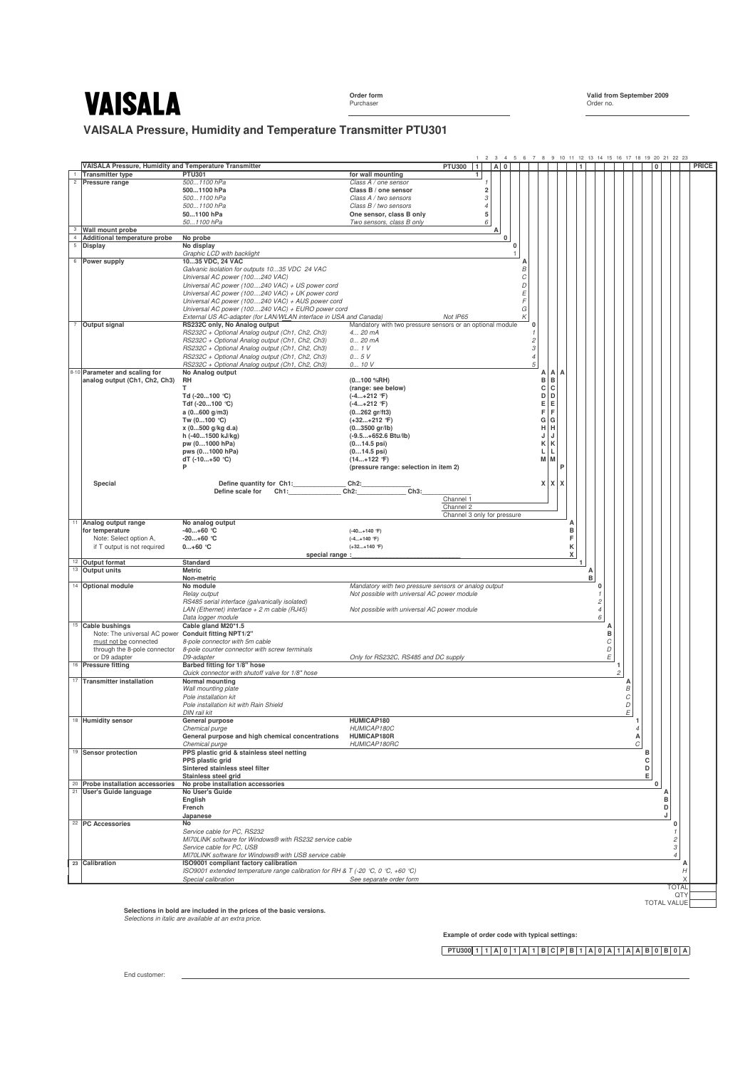Purchaser **Order no.** 2009 **Purchaser** Order no. 2009 **Purchaser** Order no.

**Order form Valid from September 2009**

**VAISALA Pressure, Humidity and Temperature Transmitter PTU301**



**Selections in bold are included in the prices of the basic versions.** *Selections in italic are available at an extra price.*

**Example of order code with typical settings:**

**PTU300 1 1 A 0 1 A 1 B C P B 1 A 0 A 1 A A B 0 B 0 A**

End customer: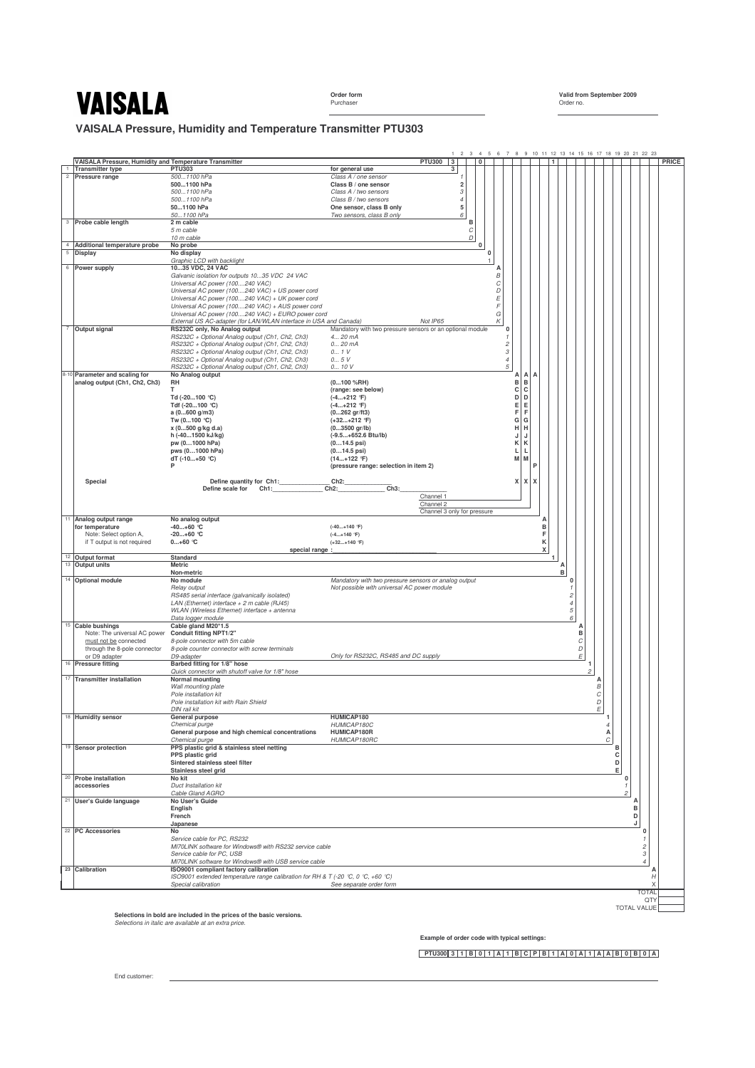**Order form Valid from September 2009** Order no.

**VAISALA Pressure, Humidity and Temperature Transmitter PTU303**



Selections in bold are included in the prices of the basic versions.<br>Selections in italic are available at an extra price.

**Example of order code with typical settings:**

**PTU300 3 1 B 0 1 A 1 B C P B 1 A 0 A 1 A A B 0 B 0 A**

End customer: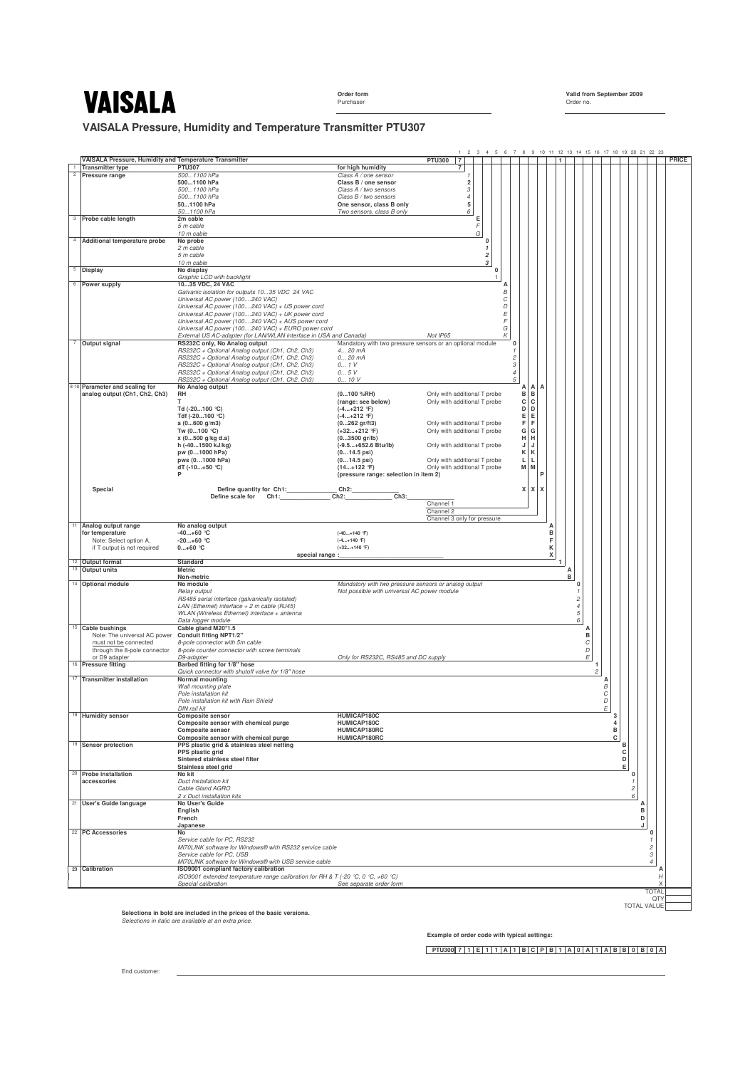Order form<br>Purchaser

**Order form Valid from September 2009**

**VAISALA Pressure, Humidity and Temperature Transmitter PTU307**

|                |                                                                 |                                                                                                         | $\overline{2}$<br>3 4 5 6 7 8 9 10 11 12 13 14 15 16 17 18 19 20 21 22 23                          |       |
|----------------|-----------------------------------------------------------------|---------------------------------------------------------------------------------------------------------|----------------------------------------------------------------------------------------------------|-------|
|                | VAISALA Pressure, Humidity and Temperature Transmitter          |                                                                                                         | <b>PTU300</b><br>$\overline{7}$<br>1                                                               | PRICE |
| $\overline{c}$ | <b>Transmitter type</b><br>Pressure range                       | <b>PTU307</b><br>5001100 hPa                                                                            | for high humidity<br>7<br>Class A / one sensor<br>1                                                |       |
|                |                                                                 | 5001100 hPa                                                                                             | Class B / one sensor<br>$\overline{2}$                                                             |       |
|                |                                                                 | 5001100 hPa                                                                                             | Class A / two sensors<br>$\sqrt{3}$                                                                |       |
|                |                                                                 | 5001100 hPa<br>501100 hPa                                                                               | Class B / two sensors<br>$\overline{4}$<br>5<br>One sensor, class B only                           |       |
|                |                                                                 | 501100 hPa                                                                                              | Two sensors, class B only<br>6                                                                     |       |
|                | <sup>3</sup> Probe cable length                                 | 2m cable                                                                                                | Е                                                                                                  |       |
|                |                                                                 | 5 m cable<br>10 m cable                                                                                 | F<br>G                                                                                             |       |
|                | 4 Additional temperature probe                                  | No probe                                                                                                | 0                                                                                                  |       |
|                |                                                                 | 2 m cable                                                                                               | $\mathbf{1}$                                                                                       |       |
|                |                                                                 | 5 m cable<br>10 m cable                                                                                 | $\overline{\mathbf{c}}$<br>$\sqrt{3}$                                                              |       |
|                | $5$ Display                                                     | No display                                                                                              | $\Omega$                                                                                           |       |
|                | 6 Power supply                                                  | Graphic LCD with backlight<br>1035 VDC, 24 VAC                                                          | А                                                                                                  |       |
|                |                                                                 | Galvanic isolation for outputs 1035 VDC 24 VAC                                                          | В                                                                                                  |       |
|                |                                                                 | Universal AC power (100240 VAC)                                                                         | С                                                                                                  |       |
|                |                                                                 | Universal AC power (100240 VAC) + US power cord<br>Universal AC power (100240 VAC) + UK power cord      | D<br>E                                                                                             |       |
|                |                                                                 | Universal AC power (100240 VAC) + AUS power cord                                                        | F                                                                                                  |       |
|                |                                                                 | Universal AC power (100240 VAC) + EURO power cord                                                       | G                                                                                                  |       |
| $\overline{7}$ | Output signal                                                   | External US AC-adapter (for LAN/WLAN interface in USA and Canada)<br>RS232C only, No Analog output      | Not IP65<br>Κ<br>Mandatory with two pressure sensors or an optional module<br>0                    |       |
|                |                                                                 | RS232C + Optional Analog output (Ch1, Ch2, Ch3)                                                         | 4 20 mA<br>$\mathbf{1}$                                                                            |       |
|                |                                                                 | RS232C + Optional Analog output (Ch1, Ch2, Ch3)<br>RS232C + Optional Analog output (Ch1, Ch2, Ch3)      | 0 20 mA<br>$\overline{\mathcal{L}}$<br>$\ensuremath{\mathcal{S}}$<br>0 1 V                         |       |
|                |                                                                 | RS232C + Optional Analog output (Ch1, Ch2, Ch3)                                                         | $\overline{4}$<br>0 5V                                                                             |       |
|                |                                                                 | RS232C + Optional Analog output (Ch1, Ch2, Ch3)                                                         | 5<br>0 10 V                                                                                        |       |
|                | 8-10 Parameter and scaling for<br>analog output (Ch1, Ch2, Ch3) | No Analog output<br>RH                                                                                  | А<br>А<br>A<br>B<br>$\,$ B<br>$(0100 \% RH)$<br>Only with additional T probe                       |       |
|                |                                                                 |                                                                                                         | c<br>$\mathbf c$<br>(range: see below)<br>Only with additional T probe                             |       |
|                |                                                                 | Td (-20100 °C)                                                                                          | D<br>D<br>$(-4+212$ °F)<br>Е                                                                       |       |
|                |                                                                 | Tdf (-20100 °C)<br>a $(0600 g/m3)$                                                                      | Е<br>$(-4+212$ °F)<br>F<br>F<br>$(0262 \text{ gr/ft3})$<br>Only with additional T probe            |       |
|                |                                                                 | Tw $(0100 °C)$                                                                                          | G<br>G<br>$(+32+212$ °F)<br>Only with additional T probe                                           |       |
|                |                                                                 | x (0500 g/kg d.a)<br>h (-401500 kJ/kg)                                                                  | н<br>$(03500 \text{ gr/lb})$<br>н<br>(-9.5+652.6 Btu/lb)<br>Only with additional T probe<br>J<br>J |       |
|                |                                                                 | pw (01000 hPa)                                                                                          | К<br>К<br>$(014.5 \text{ psi})$                                                                    |       |
|                |                                                                 | pws (01000 hPa)                                                                                         | L<br>$(014.5 \text{ psi})$<br>Only with additional T probe<br>L.                                   |       |
|                |                                                                 | dT $(-10+50 °C)$<br>P                                                                                   | M M<br>$(14+122$ °F)<br>Only with additional T probe<br>(pressure range: selection in item 2)<br>P |       |
|                |                                                                 |                                                                                                         |                                                                                                    |       |
|                | Special                                                         | Define quantity for Ch1:<br>Define scale for<br>Ch1:                                                    | Ch2:<br>x<br>XX<br>Ch <sub>3</sub> :<br>Ch2:                                                       |       |
|                |                                                                 |                                                                                                         | Channel 1                                                                                          |       |
|                |                                                                 |                                                                                                         | Channel 2                                                                                          |       |
|                | <sup>11</sup> Analog output range                               | No analog output                                                                                        | Channel 3 only for pressure<br>A                                                                   |       |
|                | for temperature                                                 | $-40+60$ °C                                                                                             | $(-40+140$ °F)<br>в                                                                                |       |
|                | Note: Select option A,<br>if T output is not required           | $-20+60$ °C<br>$0+60$ °C                                                                                | F<br>$(-4+140$ °F)<br>κ<br>(+32+140 °F)                                                            |       |
|                |                                                                 | special range :                                                                                         | x                                                                                                  |       |
|                | <sup>12</sup> Output format                                     |                                                                                                         |                                                                                                    |       |
|                |                                                                 | Standard                                                                                                | 1                                                                                                  |       |
|                | <sup>13</sup> Output units                                      | Metric<br>Non-metric                                                                                    | Α<br>в                                                                                             |       |
|                | 14 Optional module                                              | No module                                                                                               | Mandatory with two pressure sensors or analog output<br>$\mathbf 0$                                |       |
|                |                                                                 | Relay output                                                                                            | Not possible with universal AC power module<br>$\mathcal I$                                        |       |
|                |                                                                 | RS485 serial interface (galvanically isolated)<br>LAN (Ethernet) interface $+ 2$ m cable (RJ45)         | $\overline{\mathcal{L}}$<br>$\overline{4}$                                                         |       |
|                |                                                                 | WLAN (Wireless Ethernet) interface + antenna                                                            | 5                                                                                                  |       |
|                | <sup>15</sup> Cable bushings                                    | Data logger module<br>Cable gland M20*1.5                                                               | 6                                                                                                  |       |
|                | Note: The universal AC power                                    | Conduit fitting NPT1/2"                                                                                 | в                                                                                                  |       |
|                | must not be connected<br>through the 8-pole connector           | 8-pole connector with 5m cable<br>8-pole counter connector with screw terminals                         | $\cal C$<br>D                                                                                      |       |
|                | or D9 adapter                                                   | D9-adapter                                                                                              | E<br>Only for RS232C, RS485 and DC supply                                                          |       |
|                | <sup>16</sup> Pressure fitting                                  | Barbed fitting for 1/8" hose<br>Quick connector with shutoff valve for 1/8" hose                        |                                                                                                    |       |
|                | <sup>17</sup> Transmitter installation                          | Normal mounting                                                                                         |                                                                                                    |       |
|                |                                                                 | Wall mounting plate                                                                                     | $\boldsymbol{B}$                                                                                   |       |
|                |                                                                 | Pole installation kit<br>Pole installation kit with Rain Shield                                         | $\cal C$<br>D                                                                                      |       |
|                |                                                                 | DIN rail kit                                                                                            | E                                                                                                  |       |
|                | <sup>18</sup> Humidity sensor                                   | Composite sensor<br>Composite sensor with chemical purge                                                | HUMICAP180C<br>3<br>$\bf{4}$<br>HUMICAP180C                                                        |       |
|                |                                                                 | Composite sensor                                                                                        | B<br>HUMICAP180RC                                                                                  |       |
|                |                                                                 | Composite sensor with chemical purge                                                                    | HUMICAP180RC<br>C<br>B                                                                             |       |
|                | <sup>19</sup> Sensor protection                                 | PPS plastic grid & stainless steel netting<br>PPS plastic grid                                          | С                                                                                                  |       |
|                |                                                                 | Sintered stainless steel filter                                                                         | D                                                                                                  |       |
|                | <sup>20</sup> Probe installation                                | Stainless steel grid<br>No kit                                                                          | E<br>0                                                                                             |       |
|                | accessories                                                     | Duct Installation kit                                                                                   | -1                                                                                                 |       |
|                |                                                                 | Cable Gland AGRO<br>2 x Duct installation kits                                                          | $\overline{c}$<br>6                                                                                |       |
|                | <sup>21</sup> User's Guide language                             | No User's Guide                                                                                         | A                                                                                                  |       |
|                |                                                                 | English                                                                                                 | в                                                                                                  |       |
|                |                                                                 | French                                                                                                  | D<br>J                                                                                             |       |
|                | <sup>22</sup> PC Accessories                                    | Japanese<br>No                                                                                          | 0                                                                                                  |       |
|                |                                                                 | Service cable for PC, RS232                                                                             |                                                                                                    |       |
|                |                                                                 | MI70LINK software for Windows® with RS232 service cable<br>Service cable for PC, USB                    | $\sqrt{2}$<br>$\ensuremath{\mathcal{S}}$                                                           |       |
|                |                                                                 | MI70LINK software for Windows® with USB service cable                                                   | $\overline{4}$                                                                                     |       |
|                | 23 Calibration                                                  | ISO9001 compliant factory calibration                                                                   | А<br>H                                                                                             |       |
|                |                                                                 | ISO9001 extended temperature range calibration for RH & T (-20 °C, 0 °C, +60 °C)<br>Special calibration | See separate order form<br>X                                                                       |       |
|                |                                                                 |                                                                                                         | <b>TOTAL</b><br>QTY                                                                                |       |

Selections in bold are included in the prices of the basic versions.<br>Selections in italic are available at an extra price.

**Example of order code with typical settings:**

**PTU300 7 1 E 1 1 A 1 B C P B 1 A 0 A 1 A B B 0 B 0 A**